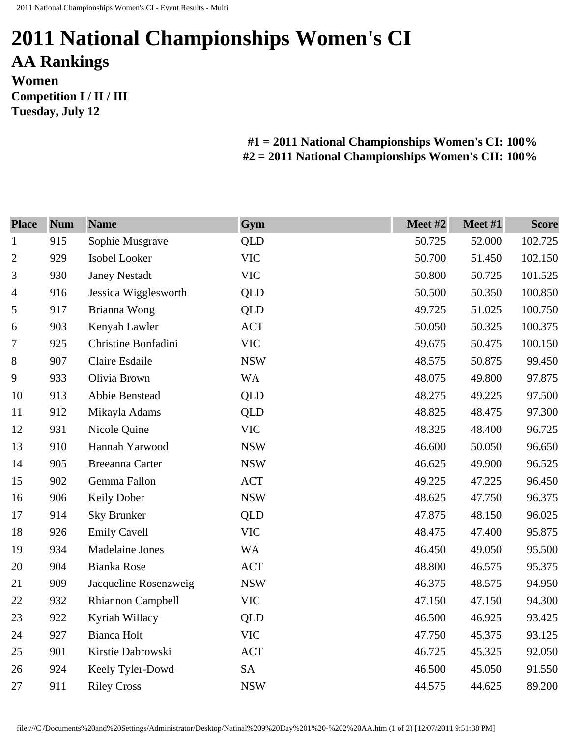**Tuesday, July 12** 

## **2011 National Championships Women's CI AA Rankings Women Competition I / II / III**

**#1 = 2011 National Championships Women's CI: 100% #2 = 2011 National Championships Women's CII: 100%** 

| <b>Place</b>   | <b>Num</b> | <b>Name</b>            | Gym        | Meet #2 | Meet #1 | <b>Score</b> |
|----------------|------------|------------------------|------------|---------|---------|--------------|
| $\mathbf{1}$   | 915        | Sophie Musgrave        | <b>QLD</b> | 50.725  | 52.000  | 102.725      |
| $\overline{2}$ | 929        | Isobel Looker          | <b>VIC</b> | 50.700  | 51.450  | 102.150      |
| 3              | 930        | <b>Janey Nestadt</b>   | <b>VIC</b> | 50.800  | 50.725  | 101.525      |
| $\overline{4}$ | 916        | Jessica Wigglesworth   | QLD        | 50.500  | 50.350  | 100.850      |
| 5              | 917        | Brianna Wong           | <b>QLD</b> | 49.725  | 51.025  | 100.750      |
| 6              | 903        | Kenyah Lawler          | <b>ACT</b> | 50.050  | 50.325  | 100.375      |
| 7              | 925        | Christine Bonfadini    | <b>VIC</b> | 49.675  | 50.475  | 100.150      |
| $8\,$          | 907        | Claire Esdaile         | <b>NSW</b> | 48.575  | 50.875  | 99.450       |
| 9              | 933        | Olivia Brown           | <b>WA</b>  | 48.075  | 49.800  | 97.875       |
| 10             | 913        | Abbie Benstead         | QLD        | 48.275  | 49.225  | 97.500       |
| 11             | 912        | Mikayla Adams          | QLD        | 48.825  | 48.475  | 97.300       |
| 12             | 931        | Nicole Quine           | <b>VIC</b> | 48.325  | 48.400  | 96.725       |
| 13             | 910        | Hannah Yarwood         | <b>NSW</b> | 46.600  | 50.050  | 96.650       |
| 14             | 905        | <b>Breeanna Carter</b> | <b>NSW</b> | 46.625  | 49.900  | 96.525       |
| 15             | 902        | Gemma Fallon           | <b>ACT</b> | 49.225  | 47.225  | 96.450       |
| 16             | 906        | Keily Dober            | <b>NSW</b> | 48.625  | 47.750  | 96.375       |
| 17             | 914        | <b>Sky Brunker</b>     | <b>QLD</b> | 47.875  | 48.150  | 96.025       |
| 18             | 926        | <b>Emily Cavell</b>    | <b>VIC</b> | 48.475  | 47.400  | 95.875       |
| 19             | 934        | <b>Madelaine Jones</b> | <b>WA</b>  | 46.450  | 49.050  | 95.500       |
| 20             | 904        | <b>Bianka Rose</b>     | <b>ACT</b> | 48.800  | 46.575  | 95.375       |
| 21             | 909        | Jacqueline Rosenzweig  | <b>NSW</b> | 46.375  | 48.575  | 94.950       |
| 22             | 932        | Rhiannon Campbell      | <b>VIC</b> | 47.150  | 47.150  | 94.300       |
| 23             | 922        | Kyriah Willacy         | <b>QLD</b> | 46.500  | 46.925  | 93.425       |
| 24             | 927        | <b>Bianca Holt</b>     | <b>VIC</b> | 47.750  | 45.375  | 93.125       |
| 25             | 901        | Kirstie Dabrowski      | <b>ACT</b> | 46.725  | 45.325  | 92.050       |
| 26             | 924        | Keely Tyler-Dowd       | <b>SA</b>  | 46.500  | 45.050  | 91.550       |
| 27             | 911        | <b>Riley Cross</b>     | <b>NSW</b> | 44.575  | 44.625  | 89.200       |